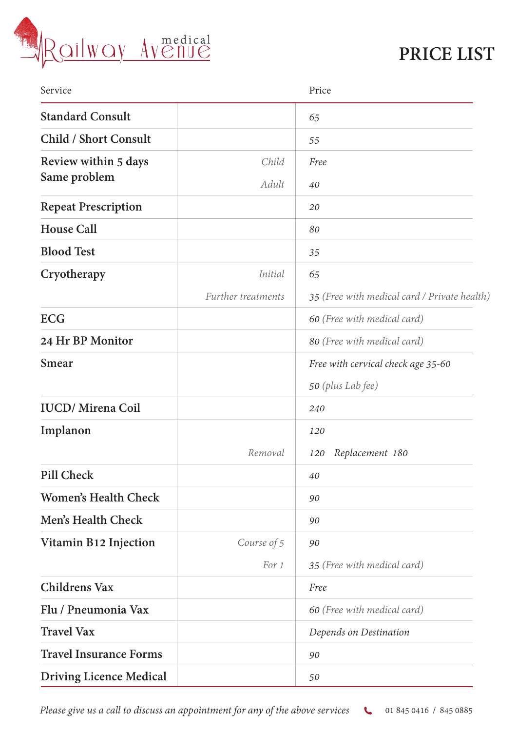

## **PRICE LIST**

| Service                        |                    | Price                                        |
|--------------------------------|--------------------|----------------------------------------------|
| <b>Standard Consult</b>        |                    | 65                                           |
| <b>Child / Short Consult</b>   |                    | 55                                           |
| Review within 5 days           | Child              | Free                                         |
| Same problem                   | Adult              | 40                                           |
| <b>Repeat Prescription</b>     |                    | 20                                           |
| <b>House Call</b>              |                    | 80                                           |
| <b>Blood Test</b>              |                    | 35                                           |
| Cryotherapy                    | <i>Initial</i>     | 65                                           |
|                                | Further treatments | 35 (Free with medical card / Private health) |
| <b>ECG</b>                     |                    | 60 (Free with medical card)                  |
| 24 Hr BP Monitor               |                    | 80 (Free with medical card)                  |
| <b>Smear</b>                   |                    | Free with cervical check age 35-60           |
|                                |                    | 50 (plus Lab fee)                            |
| <b>IUCD/</b> Mirena Coil       |                    | 240                                          |
| Implanon                       |                    | 120                                          |
|                                | Removal            | Replacement 180<br>120                       |
| Pill Check                     |                    | 40                                           |
| <b>Women's Health Check</b>    |                    | 90                                           |
| Men's Health Check             |                    | 90                                           |
| Vitamin B12 Injection          | Course of 5        | 90                                           |
|                                | For 1              | 35 (Free with medical card)                  |
| <b>Childrens Vax</b>           |                    | Free                                         |
| Flu / Pneumonia Vax            |                    | 60 (Free with medical card)                  |
| <b>Travel Vax</b>              |                    | Depends on Destination                       |
| <b>Travel Insurance Forms</b>  |                    | 90                                           |
| <b>Driving Licence Medical</b> |                    | 50                                           |

Please give us a call to discuss an appointment for any of the above services **4** 01 845 0416 / 845 0885